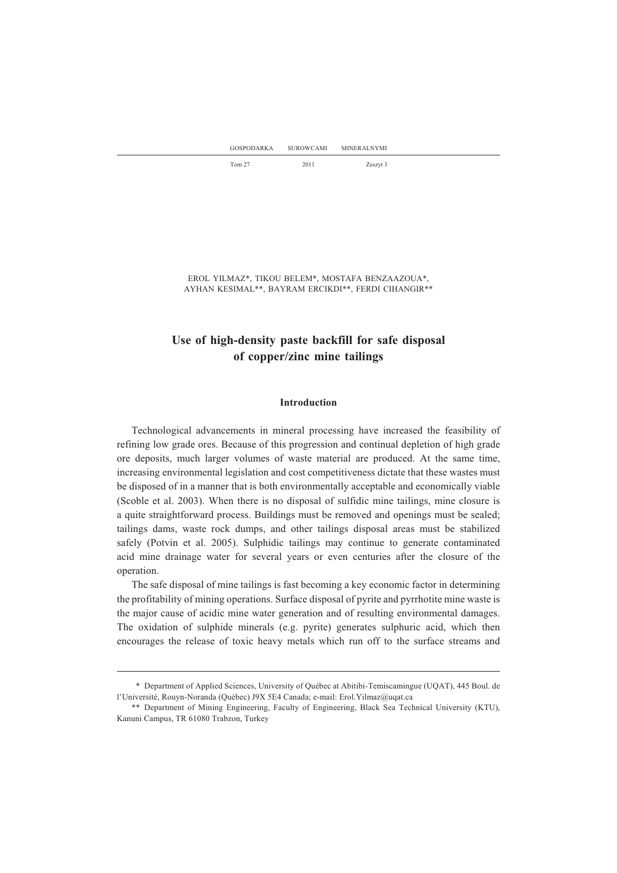| <b>GOSPODARKA</b> | <b>SUROWCAMI</b> | <b>MINERALNYMI</b> |  |  |
|-------------------|------------------|--------------------|--|--|
| Tom 27            | 2011             | Zeszyt 3           |  |  |

EROL YILMAZ\*, TIKOU BELEM\*, MOSTAFA BENZAAZOUA\*, AYHAN KESIMAL\*\*, BAYRAM ERCIKDI\*\*, FERDI CIHANGIR\*\*

# **Use of high-density paste backfill for safe disposal of copper/zinc mine tailings**

## **Introduction**

Technological advancements in mineral processing have increased the feasibility of refining low grade ores. Because of this progression and continual depletion of high grade ore deposits, much larger volumes of waste material are produced. At the same time, increasing environmental legislation and cost competitiveness dictate that these wastes must be disposed of in a manner that is both environmentally acceptable and economically viable (Scoble et al. 2003). When there is no disposal of sulfidic mine tailings, mine closure is a quite straightforward process. Buildings must be removed and openings must be sealed; tailings dams, waste rock dumps, and other tailings disposal areas must be stabilized safely (Potvin et al. 2005). Sulphidic tailings may continue to generate contaminated acid mine drainage water for several years or even centuries after the closure of the operation.

The safe disposal of mine tailings is fast becoming a key economic factor in determining the profitability of mining operations. Surface disposal of pyrite and pyrrhotite mine waste is the major cause of acidic mine water generation and of resulting environmental damages. The oxidation of sulphide minerals (e.g. pyrite) generates sulphuric acid, which then encourages the release of toxic heavy metals which run off to the surface streams and

<sup>\*\*</sup> Department of Applied Sciences, University of Québec at Abitibi-Temiscamingue (UQAT), 445 Boul. de l'Université, Rouyn-Noranda (Québec) J9X 5E4 Canada; e-mail: Erol.Yilmaz@uqat.ca

<sup>\*\*</sup> Department of Mining Engineering, Faculty of Engineering, Black Sea Technical University (KTU), Kanuni Campus, TR 61080 Trabzon, Turkey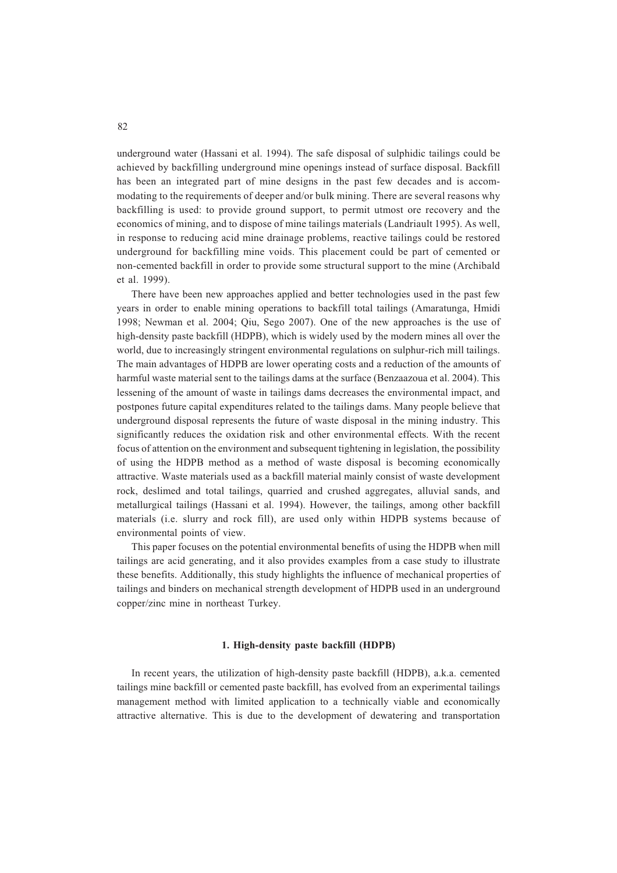underground water (Hassani et al. 1994). The safe disposal of sulphidic tailings could be achieved by backfilling underground mine openings instead of surface disposal. Backfill has been an integrated part of mine designs in the past few decades and is accommodating to the requirements of deeper and/or bulk mining. There are several reasons why backfilling is used: to provide ground support, to permit utmost ore recovery and the economics of mining, and to dispose of mine tailings materials (Landriault 1995). As well, in response to reducing acid mine drainage problems, reactive tailings could be restored underground for backfilling mine voids. This placement could be part of cemented or non-cemented backfill in order to provide some structural support to the mine (Archibald et al. 1999).

There have been new approaches applied and better technologies used in the past few years in order to enable mining operations to backfill total tailings (Amaratunga, Hmidi 1998; Newman et al. 2004; Qiu, Sego 2007). One of the new approaches is the use of high-density paste backfill (HDPB), which is widely used by the modern mines all over the world, due to increasingly stringent environmental regulations on sulphur-rich mill tailings. The main advantages of HDPB are lower operating costs and a reduction of the amounts of harmful waste material sent to the tailings dams at the surface (Benzaazoua et al. 2004). This lessening of the amount of waste in tailings dams decreases the environmental impact, and postpones future capital expenditures related to the tailings dams. Many people believe that underground disposal represents the future of waste disposal in the mining industry. This significantly reduces the oxidation risk and other environmental effects. With the recent focus of attention on the environment and subsequent tightening in legislation, the possibility of using the HDPB method as a method of waste disposal is becoming economically attractive. Waste materials used as a backfill material mainly consist of waste development rock, deslimed and total tailings, quarried and crushed aggregates, alluvial sands, and metallurgical tailings (Hassani et al. 1994). However, the tailings, among other backfill materials (i.e. slurry and rock fill), are used only within HDPB systems because of environmental points of view.

This paper focuses on the potential environmental benefits of using the HDPB when mill tailings are acid generating, and it also provides examples from a case study to illustrate these benefits. Additionally, this study highlights the influence of mechanical properties of tailings and binders on mechanical strength development of HDPB used in an underground copper/zinc mine in northeast Turkey.

## **1. High-density paste backfill (HDPB)**

In recent years, the utilization of high-density paste backfill (HDPB), a.k.a. cemented tailings mine backfill or cemented paste backfill, has evolved from an experimental tailings management method with limited application to a technically viable and economically attractive alternative. This is due to the development of dewatering and transportation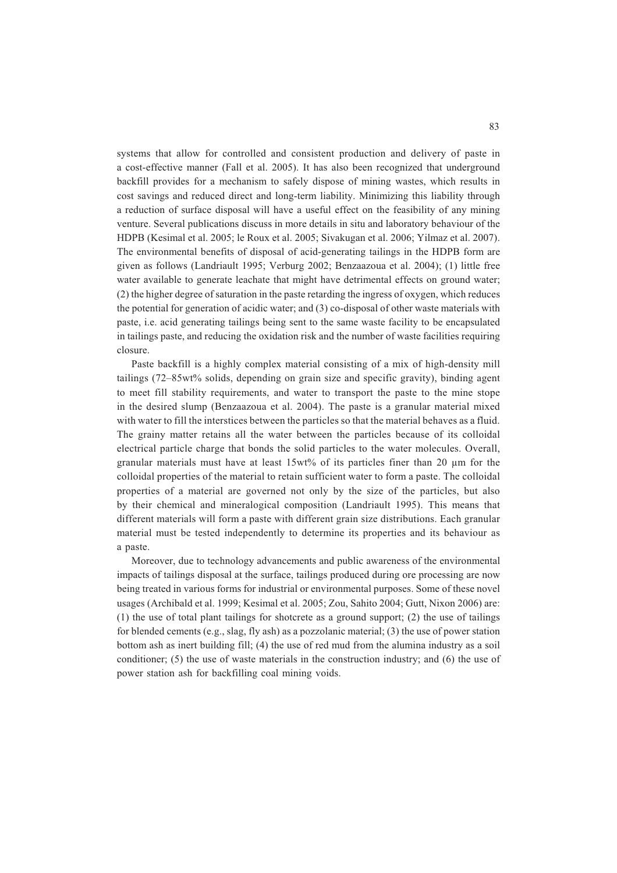systems that allow for controlled and consistent production and delivery of paste in a cost-effective manner (Fall et al. 2005). It has also been recognized that underground backfill provides for a mechanism to safely dispose of mining wastes, which results in cost savings and reduced direct and long-term liability. Minimizing this liability through a reduction of surface disposal will have a useful effect on the feasibility of any mining venture. Several publications discuss in more details in situ and laboratory behaviour of the HDPB (Kesimal et al. 2005; le Roux et al. 2005; Sivakugan et al. 2006; Yilmaz et al. 2007). The environmental benefits of disposal of acid-generating tailings in the HDPB form are given as follows (Landriault 1995; Verburg 2002; Benzaazoua et al. 2004); (1) little free water available to generate leachate that might have detrimental effects on ground water; (2) the higher degree of saturation in the paste retarding the ingress of oxygen, which reduces the potential for generation of acidic water; and (3) co-disposal of other waste materials with paste, i.e. acid generating tailings being sent to the same waste facility to be encapsulated in tailings paste, and reducing the oxidation risk and the number of waste facilities requiring closure.

Paste backfill is a highly complex material consisting of a mix of high-density mill tailings (72–85wt% solids, depending on grain size and specific gravity), binding agent to meet fill stability requirements, and water to transport the paste to the mine stope in the desired slump (Benzaazoua et al. 2004). The paste is a granular material mixed with water to fill the interstices between the particles so that the material behaves as a fluid. The grainy matter retains all the water between the particles because of its colloidal electrical particle charge that bonds the solid particles to the water molecules. Overall, granular materials must have at least  $15wt\%$  of its particles finer than 20 um for the colloidal properties of the material to retain sufficient water to form a paste. The colloidal properties of a material are governed not only by the size of the particles, but also by their chemical and mineralogical composition (Landriault 1995). This means that different materials will form a paste with different grain size distributions. Each granular material must be tested independently to determine its properties and its behaviour as a paste.

Moreover, due to technology advancements and public awareness of the environmental impacts of tailings disposal at the surface, tailings produced during ore processing are now being treated in various forms for industrial or environmental purposes. Some of these novel usages (Archibald et al. 1999; Kesimal et al. 2005; Zou, Sahito 2004; Gutt, Nixon 2006) are: (1) the use of total plant tailings for shotcrete as a ground support; (2) the use of tailings for blended cements (e.g., slag, fly ash) as a pozzolanic material; (3) the use of power station bottom ash as inert building fill; (4) the use of red mud from the alumina industry as a soil conditioner; (5) the use of waste materials in the construction industry; and (6) the use of power station ash for backfilling coal mining voids.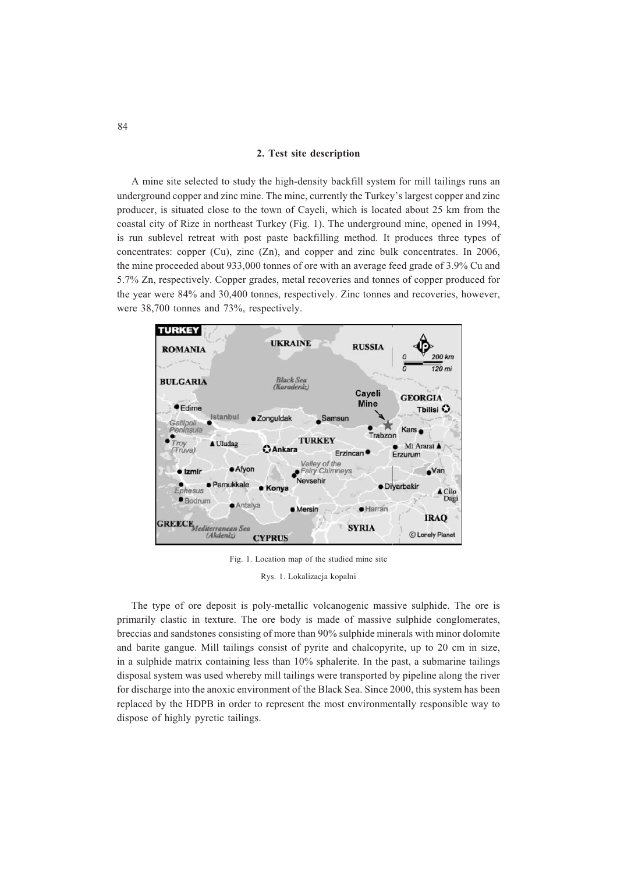### **2. Test site description**

A mine site selected to study the high-density backfill system for mill tailings runs an underground copper and zinc mine. The mine, currently the Turkey's largest copper and zinc producer, is situated close to the town of Cayeli, which is located about 25 km from the coastal city of Rize in northeast Turkey (Fig. 1). The underground mine, opened in 1994, is run sublevel retreat with post paste backfilling method. It produces three types of concentrates: copper (Cu), zinc (Zn), and copper and zinc bulk concentrates. In 2006, the mine proceeded about 933,000 tonnes of ore with an average feed grade of 3.9% Cu and 5.7% Zn, respectively. Copper grades, metal recoveries and tonnes of copper produced for the year were 84% and 30,400 tonnes, respectively. Zinc tonnes and recoveries, however, were 38,700 tonnes and 73%, respectively.



Fig. 1. Location map of the studied mine site

Rys. 1. Lokalizacja kopalni

The type of ore deposit is poly-metallic volcanogenic massive sulphide. The ore is primarily clastic in texture. The ore body is made of massive sulphide conglomerates, breccias and sandstones consisting of more than 90% sulphide minerals with minor dolomite and barite gangue. Mill tailings consist of pyrite and chalcopyrite, up to 20 cm in size, in a sulphide matrix containing less than 10% sphalerite. In the past, a submarine tailings disposal system was used whereby mill tailings were transported by pipeline along the river for discharge into the anoxic environment of the Black Sea. Since 2000, this system has been replaced by the HDPB in order to represent the most environmentally responsible way to dispose of highly pyretic tailings.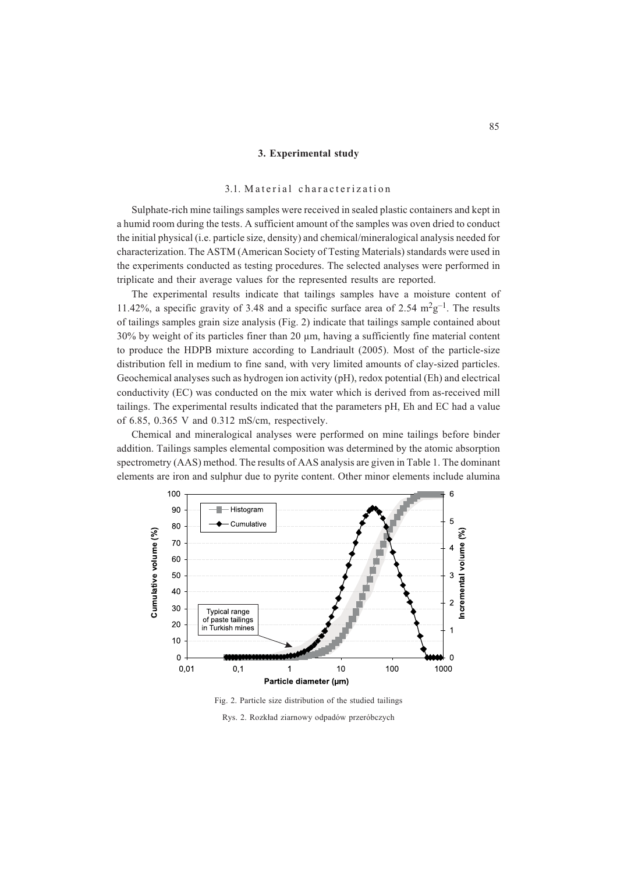## **3. Experimental study**

## 3.1. Material characterization

Sulphate-rich mine tailings samples were received in sealed plastic containers and kept in a humid room during the tests. A sufficient amount of the samples was oven dried to conduct the initial physical (i.e. particle size, density) and chemical/mineralogical analysis needed for characterization. The ASTM (American Society of Testing Materials) standards were used in the experiments conducted as testing procedures. The selected analyses were performed in triplicate and their average values for the represented results are reported.

The experimental results indicate that tailings samples have a moisture content of 11.42%, a specific gravity of 3.48 and a specific surface area of 2.54  $m^2g^{-1}$ . The results of tailings samples grain size analysis (Fig. 2) indicate that tailings sample contained about  $30\%$  by weight of its particles finer than 20  $\mu$ m, having a sufficiently fine material content to produce the HDPB mixture according to Landriault (2005). Most of the particle-size distribution fell in medium to fine sand, with very limited amounts of clay-sized particles. Geochemical analyses such as hydrogen ion activity (pH), redox potential (Eh) and electrical conductivity (EC) was conducted on the mix water which is derived from as-received mill tailings. The experimental results indicated that the parameters pH, Eh and EC had a value of 6.85, 0.365 V and 0.312 mS/cm, respectively.

Chemical and mineralogical analyses were performed on mine tailings before binder addition. Tailings samples elemental composition was determined by the atomic absorption spectrometry (AAS) method. The results of AAS analysis are given in Table 1. The dominant elements are iron and sulphur due to pyrite content. Other minor elements include alumina



Fig. 2. Particle size distribution of the studied tailings

Rys. 2. Rozkład ziarnowy odpadów przeróbczych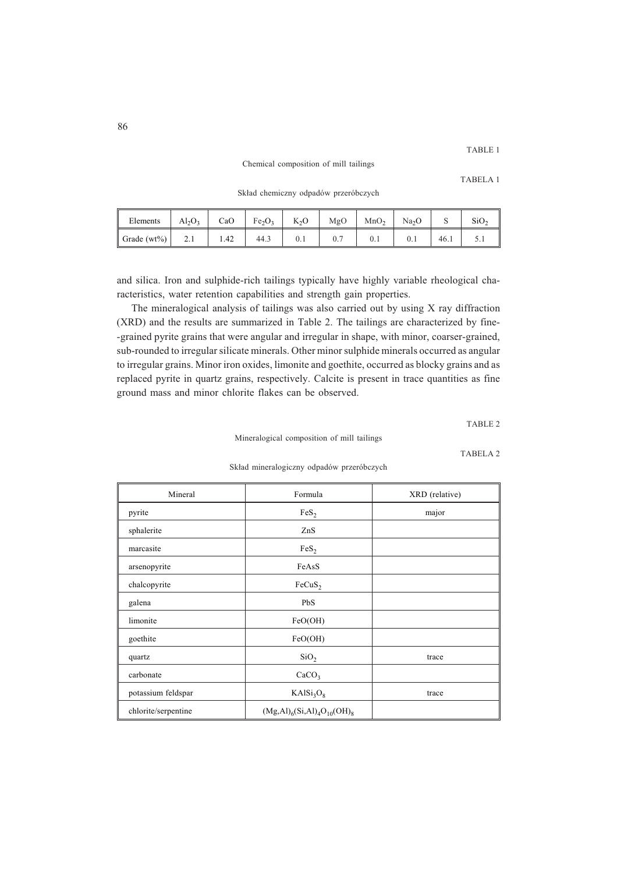Chemical composition of mill tailings

TABELA 1

Skład chemiczny odpadów przeróbczych

| Elements         | $Al_2O_3$ | CaO  | Fe <sub>2</sub> O <sub>3</sub> | $K_2O$   | MgO | MnO <sub>2</sub> | Na <sub>2</sub> O |      |          |
|------------------|-----------|------|--------------------------------|----------|-----|------------------|-------------------|------|----------|
| Grade ( $wt\%$ ) | $\sim$ .1 | 1.42 | 44.3                           | $_{0.1}$ | U.  | v. i             | U.I               | 46.1 | <u>.</u> |

and silica. Iron and sulphide-rich tailings typically have highly variable rheological characteristics, water retention capabilities and strength gain properties.

The mineralogical analysis of tailings was also carried out by using X ray diffraction (XRD) and the results are summarized in Table 2. The tailings are characterized by fine- -grained pyrite grains that were angular and irregular in shape, with minor, coarser-grained, sub-rounded to irregular silicate minerals. Other minor sulphide minerals occurred as angular to irregular grains. Minor iron oxides, limonite and goethite, occurred as blocky grains and as replaced pyrite in quartz grains, respectively. Calcite is present in trace quantities as fine ground mass and minor chlorite flakes can be observed.

TABLE 2

Mineralogical composition of mill tailings

TABELA 2

| Mineral             | Formula                            | XRD (relative) |
|---------------------|------------------------------------|----------------|
| pyrite              | FeS <sub>2</sub>                   | major          |
| sphalerite          | ZnS                                |                |
| marcasite           | FeS <sub>2</sub>                   |                |
| arsenopyrite        | FeAsS                              |                |
| chalcopyrite        | FeCuS <sub>2</sub>                 |                |
| galena              | PbS                                |                |
| limonite            | FeO(OH)                            |                |
| goethite            | FeO(OH)                            |                |
| quartz              | SiO <sub>2</sub>                   | trace          |
| carbonate           | CaCO <sub>3</sub>                  |                |
| potassium feldspar  | KAlSi <sub>3</sub> O <sub>8</sub>  | trace          |
| chlorite/serpentine | $(Mg, Al)_6(Si, Al)_4O_{10}(OH)_8$ |                |

Skład mineralogiczny odpadów przeróbczych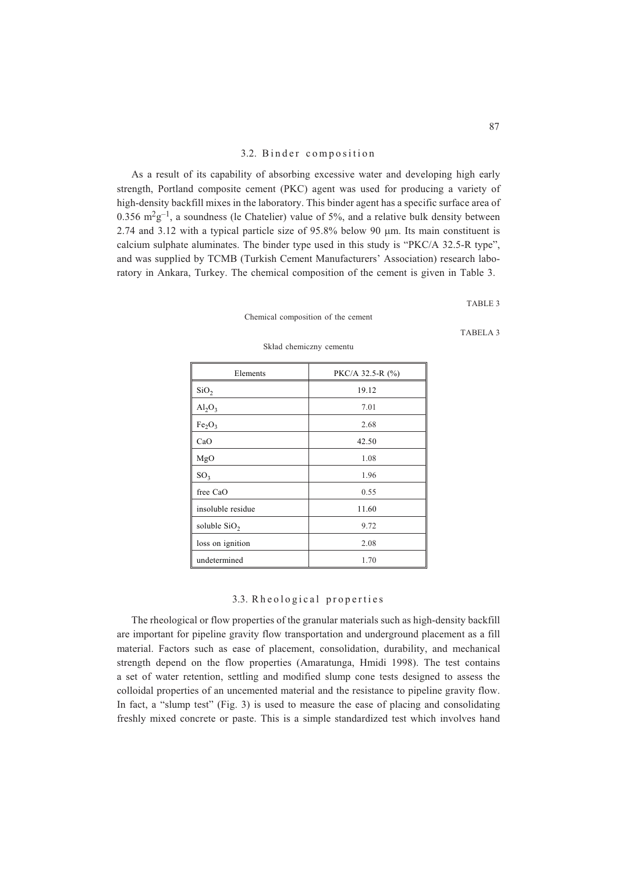## 3.2. Binder composition

As a result of its capability of absorbing excessive water and developing high early strength, Portland composite cement (PKC) agent was used for producing a variety of high-density backfill mixes in the laboratory. This binder agent has a specific surface area of 0.356  $m^2g^{-1}$ , a soundness (le Chatelier) value of 5%, and a relative bulk density between 2.74 and 3.12 with a typical particle size of  $95.8\%$  below 90  $\mu$ m. Its main constituent is calcium sulphate aluminates. The binder type used in this study is "PKC/A 32.5-R type", and was supplied by TCMB (Turkish Cement Manufacturers' Association) research laboratory in Ankara, Turkey. The chemical composition of the cement is given in Table 3.

TABLE 3

| Chemical composition of the cement |  |  |
|------------------------------------|--|--|
|                                    |  |  |

Elements  $PKC/A$  32.5-R  $(\%)$  $\text{SiO}_2$  19.12  $Al_2O_3$  7.01  $Fe<sub>2</sub>O<sub>3</sub>$  2.68  $CaO$  42.50  $MgO$  1.08  $SO_3$  1.96 free CaO 0.55 insoluble residue 11.60 soluble  $\text{SiO}_2$  9.72 loss on ignition 2.08 undetermined 1.70

Skład chemiczny cementu

## 3.3. Rheological properties

The rheological or flow properties of the granular materials such as high-density backfill are important for pipeline gravity flow transportation and underground placement as a fill material. Factors such as ease of placement, consolidation, durability, and mechanical strength depend on the flow properties (Amaratunga, Hmidi 1998). The test contains a set of water retention, settling and modified slump cone tests designed to assess the colloidal properties of an uncemented material and the resistance to pipeline gravity flow. In fact, a "slump test" (Fig. 3) is used to measure the ease of placing and consolidating freshly mixed concrete or paste. This is a simple standardized test which involves hand

TABELA 3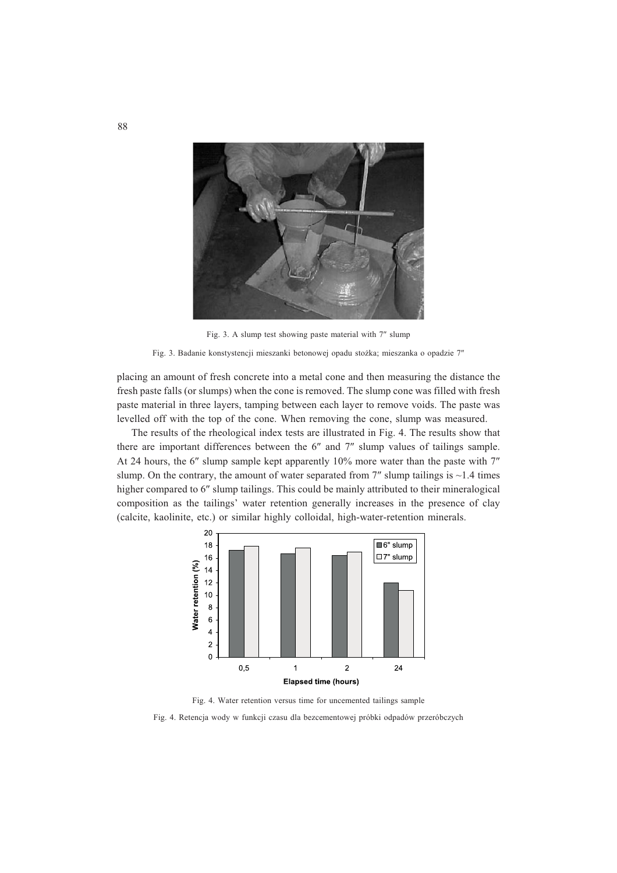

Fig. 3. A slump test showing paste material with 7" slump



placing an amount of fresh concrete into a metal cone and then measuring the distance the fresh paste falls (or slumps) when the cone is removed. The slump cone was filled with fresh paste material in three layers, tamping between each layer to remove voids. The paste was levelled off with the top of the cone. When removing the cone, slump was measured.

The results of the rheological index tests are illustrated in Fig. 4. The results show that there are important differences between the  $6''$  and  $7''$  slump values of tailings sample. At 24 hours, the 6" slump sample kept apparently  $10\%$  more water than the paste with  $7"$ slump. On the contrary, the amount of water separated from  $7''$  slump tailings is  $\sim$ 1.4 times higher compared to 6" slump tailings. This could be mainly attributed to their mineralogical composition as the tailings' water retention generally increases in the presence of clay (calcite, kaolinite, etc.) or similar highly colloidal, high-water-retention minerals.



Fig. 4. Water retention versus time for uncemented tailings sample

Fig. 4. Retencja wody w funkcji czasu dla bezcementowej próbki odpadów przeróbczych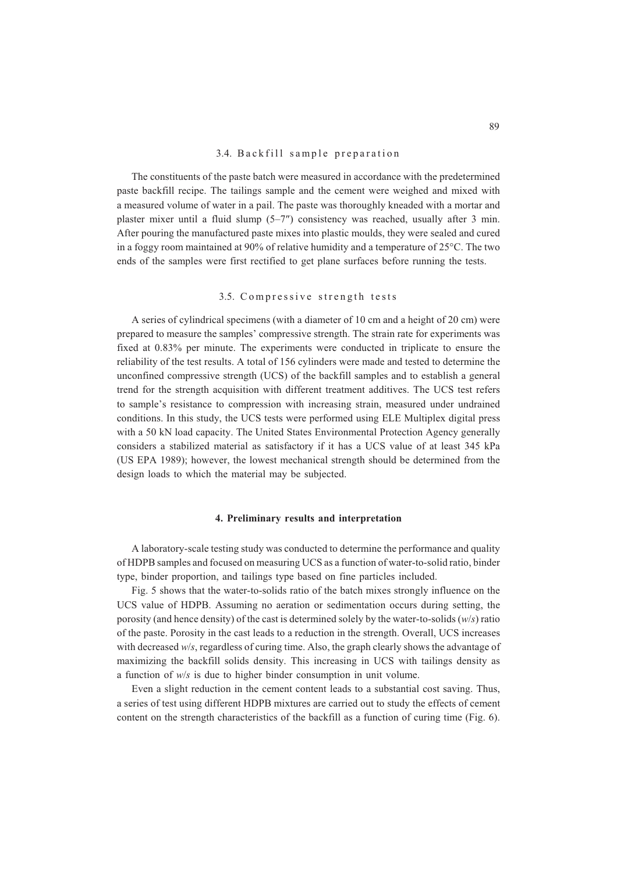## 3.4. Backfill sample preparation

The constituents of the paste batch were measured in accordance with the predetermined paste backfill recipe. The tailings sample and the cement were weighed and mixed with a measured volume of water in a pail. The paste was thoroughly kneaded with a mortar and plaster mixer until a fluid slump  $(5-7'')$  consistency was reached, usually after 3 min. After pouring the manufactured paste mixes into plastic moulds, they were sealed and cured in a foggy room maintained at 90% of relative humidity and a temperature of 25°C. The two ends of the samples were first rectified to get plane surfaces before running the tests.

## 3.5. Compressive strength tests

A series of cylindrical specimens (with a diameter of 10 cm and a height of 20 cm) were prepared to measure the samples' compressive strength. The strain rate for experiments was fixed at 0.83% per minute. The experiments were conducted in triplicate to ensure the reliability of the test results. A total of 156 cylinders were made and tested to determine the unconfined compressive strength (UCS) of the backfill samples and to establish a general trend for the strength acquisition with different treatment additives. The UCS test refers to sample's resistance to compression with increasing strain, measured under undrained conditions. In this study, the UCS tests were performed using ELE Multiplex digital press with a 50 kN load capacity. The United States Environmental Protection Agency generally considers a stabilized material as satisfactory if it has a UCS value of at least 345 kPa (US EPA 1989); however, the lowest mechanical strength should be determined from the design loads to which the material may be subjected.

## **4. Preliminary results and interpretation**

A laboratory-scale testing study was conducted to determine the performance and quality of HDPB samples and focused on measuring UCS as a function of water-to-solid ratio, binder type, binder proportion, and tailings type based on fine particles included.

Fig. 5 shows that the water-to-solids ratio of the batch mixes strongly influence on the UCS value of HDPB. Assuming no aeration or sedimentation occurs during setting, the porosity (and hence density) of the cast is determined solely by the water-to-solids (*w*/*s*) ratio of the paste. Porosity in the cast leads to a reduction in the strength. Overall, UCS increases with decreased *w*/*s*, regardless of curing time. Also, the graph clearly shows the advantage of maximizing the backfill solids density. This increasing in UCS with tailings density as a function of *w*/*s* is due to higher binder consumption in unit volume.

Even a slight reduction in the cement content leads to a substantial cost saving. Thus, a series of test using different HDPB mixtures are carried out to study the effects of cement content on the strength characteristics of the backfill as a function of curing time (Fig. 6).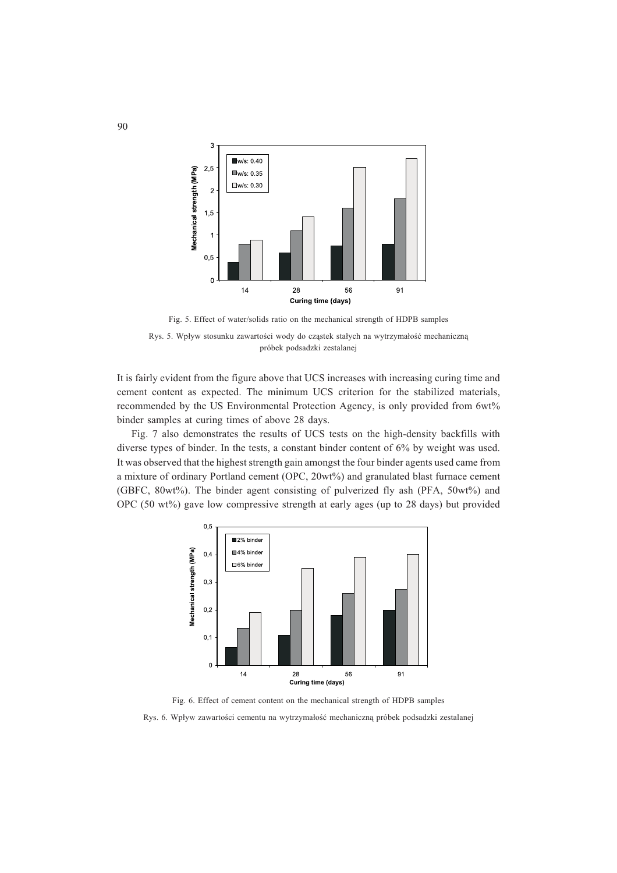

Fig. 5. Effect of water/solids ratio on the mechanical strength of HDPB samples

Rys. 5. Wpływ stosunku zawartości wody do cząstek stałych na wytrzymałość mechaniczną próbek podsadzki zestalanej

It is fairly evident from the figure above that UCS increases with increasing curing time and cement content as expected. The minimum UCS criterion for the stabilized materials, recommended by the US Environmental Protection Agency, is only provided from 6wt% binder samples at curing times of above 28 days.

Fig. 7 also demonstrates the results of UCS tests on the high-density backfills with diverse types of binder. In the tests, a constant binder content of 6% by weight was used. It was observed that the highest strength gain amongst the four binder agents used came from a mixture of ordinary Portland cement (OPC, 20wt%) and granulated blast furnace cement (GBFC, 80wt%). The binder agent consisting of pulverized fly ash (PFA, 50wt%) and OPC (50 wt%) gave low compressive strength at early ages (up to 28 days) but provided



Fig. 6. Effect of cement content on the mechanical strength of HDPB samples

Rys. 6. Wpływ zawartości cementu na wytrzymałość mechaniczną próbek podsadzki zestalanej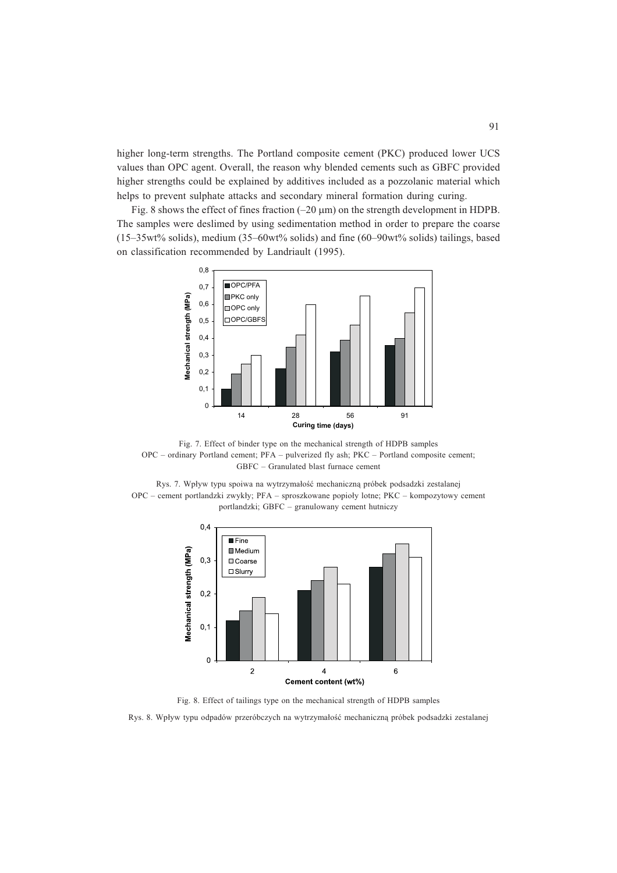higher long-term strengths. The Portland composite cement (PKC) produced lower UCS values than OPC agent. Overall, the reason why blended cements such as GBFC provided higher strengths could be explained by additives included as a pozzolanic material which helps to prevent sulphate attacks and secondary mineral formation during curing.

Fig. 8 shows the effect of fines fraction  $(-20 \mu m)$  on the strength development in HDPB. The samples were deslimed by using sedimentation method in order to prepare the coarse (15–35wt% solids), medium (35–60wt% solids) and fine (60–90wt% solids) tailings, based on classification recommended by Landriault (1995).



Fig. 7. Effect of binder type on the mechanical strength of HDPB samples OPC – ordinary Portland cement; PFA – pulverized fly ash; PKC – Portland composite cement; GBFC – Granulated blast furnace cement

Rys. 7. Wpływ typu spoiwa na wytrzymałość mechaniczną próbek podsadzki zestalanej OPC – cement portlandzki zwykły; PFA – sproszkowane popioły lotne; PKC – kompozytowy cement portlandzki; GBFC – granulowany cement hutniczy



Fig. 8. Effect of tailings type on the mechanical strength of HDPB samples

Rys. 8. Wpływ typu odpadów przeróbczych na wytrzymałość mechaniczną próbek podsadzki zestalanej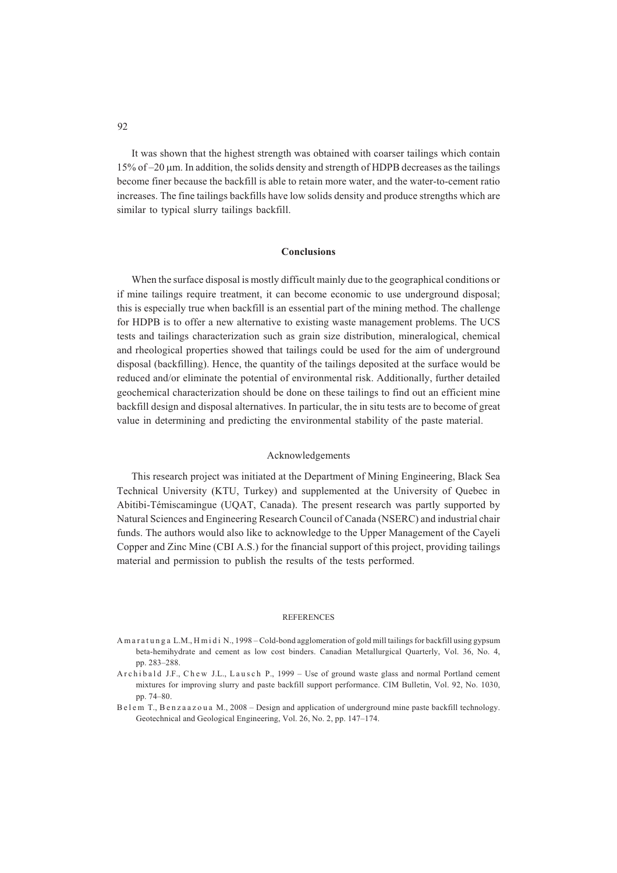It was shown that the highest strength was obtained with coarser tailings which contain 15% of –20 m. In addition, the solids density and strength of HDPB decreases as the tailings become finer because the backfill is able to retain more water, and the water-to-cement ratio increases. The fine tailings backfills have low solids density and produce strengths which are similar to typical slurry tailings backfill.

### **Conclusions**

When the surface disposal is mostly difficult mainly due to the geographical conditions or if mine tailings require treatment, it can become economic to use underground disposal; this is especially true when backfill is an essential part of the mining method. The challenge for HDPB is to offer a new alternative to existing waste management problems. The UCS tests and tailings characterization such as grain size distribution, mineralogical, chemical and rheological properties showed that tailings could be used for the aim of underground disposal (backfilling). Hence, the quantity of the tailings deposited at the surface would be reduced and/or eliminate the potential of environmental risk. Additionally, further detailed geochemical characterization should be done on these tailings to find out an efficient mine backfill design and disposal alternatives. In particular, the in situ tests are to become of great value in determining and predicting the environmental stability of the paste material.

### Acknowledgements

This research project was initiated at the Department of Mining Engineering, Black Sea Technical University (KTU, Turkey) and supplemented at the University of Quebec in Abitibi-Témiscamingue (UQAT, Canada). The present research was partly supported by Natural Sciences and Engineering Research Council of Canada (NSERC) and industrial chair funds. The authors would also like to acknowledge to the Upper Management of the Cayeli Copper and Zinc Mine (CBI A.S.) for the financial support of this project, providing tailings material and permission to publish the results of the tests performed.

## REFERENCES

- A m a r a t u n g a L.M., H m i d i N., 1998 Cold-bond agglomeration of gold mill tailings for backfill using gypsum beta-hemihydrate and cement as low cost binders. Canadian Metallurgical Quarterly, Vol. 36, No. 4, pp. 283–288.
- A r c h i b a l d J.F., C h e w J.L., L a u s c h P., 1999 Use of ground waste glass and normal Portland cement mixtures for improving slurry and paste backfill support performance. CIM Bulletin, Vol. 92, No. 1030, pp. 74–80.
- B e l e m T., B e n z a a z o u a M., 2008 Design and application of underground mine paste backfill technology. Geotechnical and Geological Engineering, Vol. 26, No. 2, pp. 147–174.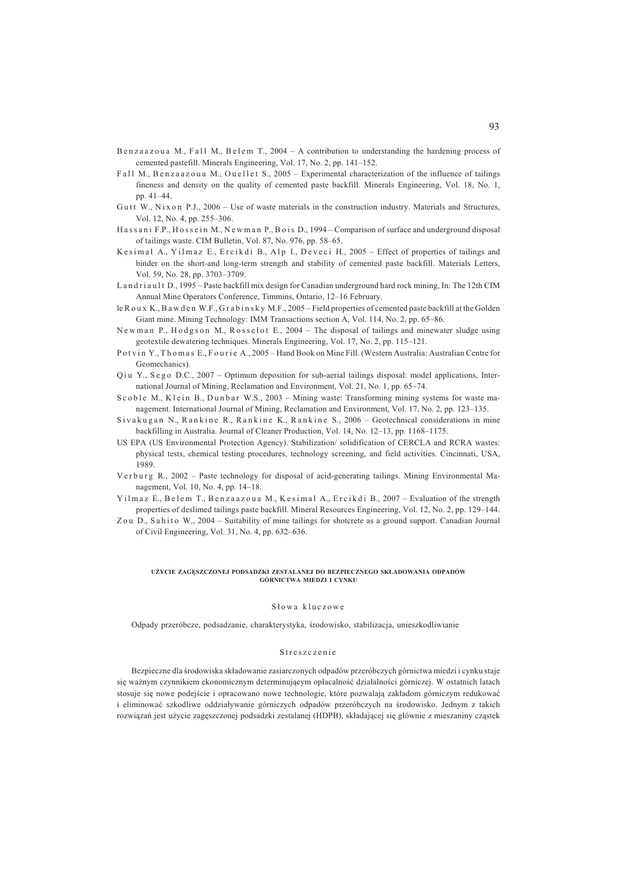- Benzaazoua M., Fall M., Belem T., 2004 A contribution to understanding the hardening process of cemented pastefill. Minerals Engineering, Vol. 17, No. 2, pp. 141–152.
- Fall M., Benzaazoua M., Ouellet S., 2005 Experimental characterization of the influence of tailings fineness and density on the quality of cemented paste backfill. Minerals Engineering, Vol. 18, No. 1, pp. 41–44.
- Gutt W., Nix on P.J., 2006 Use of waste materials in the construction industry. Materials and Structures, Vol. 12, No. 4, pp. 255–306.
- H a s s a n i F.P., H o s s e in M., N e w m a n P., B o is D., 1994 Comparison of surface and underground disposal of tailings waste. CIM Bulletin, Vol. 87, No. 976, pp. 58–65.
- K e simal A., Yilmaz E., Ercikdi B., Alp I., Deveci H., 2005 Effect of properties of tailings and binder on the short-and long-term strength and stability of cemented paste backfill. Materials Letters, Vol. 59, No. 28, pp. 3703–3709.
- L and riault D., 1995 Paste backfill mix design for Canadian underground hard rock mining, In: The 12th CIM Annual Mine Operators Conference, Timmins, Ontario, 12–16 February.
- le R ou x K., B a w d e n W.F., G r a b i n s k y M.F., 2005 Field properties of cemented paste backfill at the Golden Giant mine. Mining Technology: IMM Transactions section A, Vol. 114, No. 2, pp. 65–86.
- Newman P., Hodgson M., Rosselot E., 2004 The disposal of tailings and minewater sludge using geotextile dewatering techniques. Minerals Engineering, Vol. 17, No. 2, pp. 115–121.
- P o t v in Y., Th o m a s E., F o u r i e A., 2005 Hand Book on Mine Fill. (Western Australia: Australian Centre for Geomechanics).
- Q iu Y., S e g o D.C., 2007 Optimum deposition for sub-aerial tailings disposal: model applications, International Journal of Mining, Reclamation and Environment, Vol. 21, No. 1, pp. 65–74.
- Scoble M., Klein B., Dunbar W.S., 2003 Mining waste: Transforming mining systems for waste management. International Journal of Mining, Reclamation and Environment, Vol. 17, No. 2, pp. 123–135.
- Sivakugan N., Rankine R., Rankine K., Rankine S., 2006 Geotechnical considerations in mine backfilling in Australia. Journal of Cleaner Production, Vol. 14, No. 12–13, pp. 1168–1175.
- US EPA (US Environmental Protection Agency). Stabilization/ solidification of CERCLA and RCRA wastes: physical tests, chemical testing procedures, technology screening, and field activities. Cincinnati, USA, 1989.
- V erburg R., 2002 Paste technology for disposal of acid-generating tailings. Mining Environmental Management, Vol. 10, No. 4, pp. 14–18.
- Yilmaz E., Belem T., Benzaazoua M., Kesimal A., Ercikdi B., 2007 Evaluation of the strength properties of deslimed tailings paste backfill. Mineral Resources Engineering, Vol. 12, No. 2, pp. 129–144.
- Zou D., Sahito W., 2004 Suitability of mine tailings for shotcrete as a ground support. Canadian Journal of Civil Engineering, Vol. 31, No. 4, pp. 632–636.

### **U¯YCIE ZAGÊSZCZONEJ PODSADZKI ZESTALANEJ DO BEZPIECZNEGO SK£ADOWANIA ODPADÓW GÓRNICTWA MIEDZI I CYNKU**

### Słowa kluczowe

Odpady przeróbcze, podsadzanie, charakterystyka, środowisko, stabilizacja, unieszkodliwianie

### Streszczenie

Bezpieczne dla środowiska składowanie zasiarczonych odpadów przeróbczych górnictwa miedzi i cynku staje się ważnym czynnikiem ekonomicznym determinującym opłacalność działalności górniczej. W ostatnich latach stosuje się nowe podejście i opracowano nowe technologie, które pozwalają zakładom górniczym redukować i eliminować szkodliwe oddziaływanie górniczych odpadów przeróbczych na środowisko. Jednym z takich rozwiązań jest użycie zagęszczonej podsadzki zestalanej (HDPB), składającej się głównie z mieszaniny cząstek